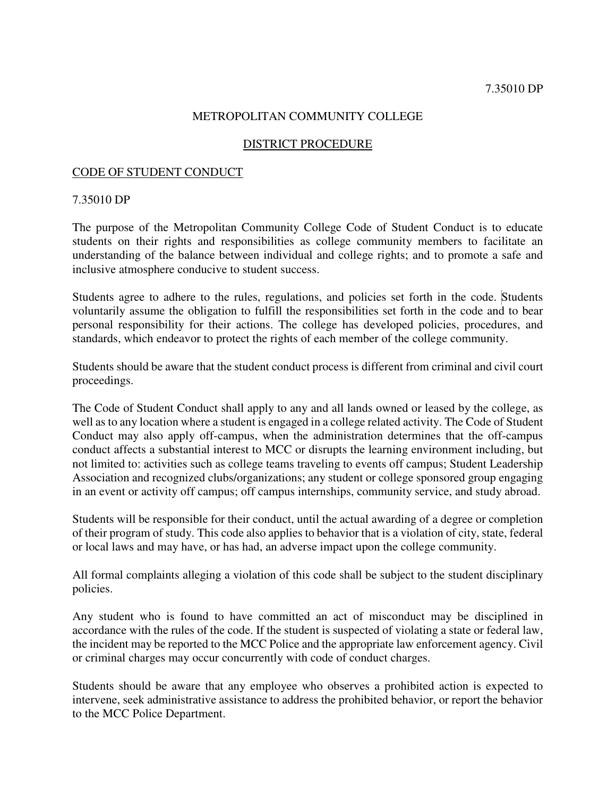### METROPOLITAN COMMUNITY COLLEGE

#### DISTRICT PROCEDURE

#### CODE OF STUDENT CONDUCT

#### 7.35010 DP

The purpose of the Metropolitan Community College Code of Student Conduct is to educate students on their rights and responsibilities as college community members to facilitate an understanding of the balance between individual and college rights; and to promote a safe and inclusive atmosphere conducive to student success.

Students agree to adhere to the rules, regulations, and policies set forth in the code. Students voluntarily assume the obligation to fulfill the responsibilities set forth in the code and to bear personal responsibility for their actions. The college has developed policies, procedures, and standards, which endeavor to protect the rights of each member of the college community.

Students should be aware that the student conduct process is different from criminal and civil court proceedings.

The Code of Student Conduct shall apply to any and all lands owned or leased by the college, as well as to any location where a student is engaged in a college related activity. The Code of Student Conduct may also apply off-campus, when the administration determines that the off-campus conduct affects a substantial interest to MCC or disrupts the learning environment including, but not limited to: activities such as college teams traveling to events off campus; Student Leadership Association and recognized clubs/organizations; any student or college sponsored group engaging in an event or activity off campus; off campus internships, community service, and study abroad.

Students will be responsible for their conduct, until the actual awarding of a degree or completion of their program of study. This code also applies to behavior that is a violation of city, state, federal or local laws and may have, or has had, an adverse impact upon the college community.

All formal complaints alleging a violation of this code shall be subject to the student disciplinary policies.

Any student who is found to have committed an act of misconduct may be disciplined in accordance with the rules of the code. If the student is suspected of violating a state or federal law, the incident may be reported to the MCC Police and the appropriate law enforcement agency. Civil or criminal charges may occur concurrently with code of conduct charges.

Students should be aware that any employee who observes a prohibited action is expected to intervene, seek administrative assistance to address the prohibited behavior, or report the behavior to the MCC Police Department.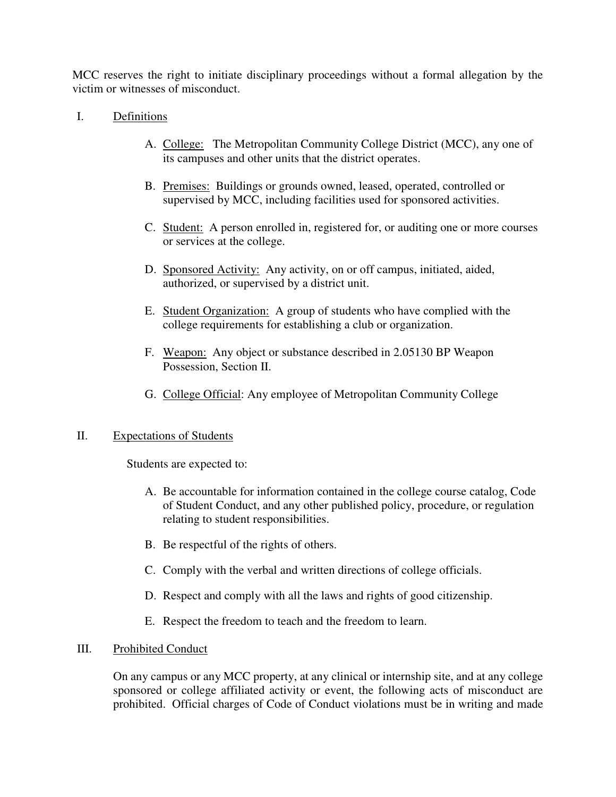MCC reserves the right to initiate disciplinary proceedings without a formal allegation by the victim or witnesses of misconduct.

### I. Definitions

- A. College: The Metropolitan Community College District (MCC), any one of its campuses and other units that the district operates.
- B. Premises: Buildings or grounds owned, leased, operated, controlled or supervised by MCC, including facilities used for sponsored activities.
- C. Student: A person enrolled in, registered for, or auditing one or more courses or services at the college.
- D. Sponsored Activity: Any activity, on or off campus, initiated, aided, authorized, or supervised by a district unit.
- E. Student Organization: A group of students who have complied with the college requirements for establishing a club or organization.
- F. Weapon: Any object or substance described in 2.05130 BP Weapon Possession, Section II.
- G. College Official: Any employee of Metropolitan Community College

### II. Expectations of Students

Students are expected to:

- A. Be accountable for information contained in the college course catalog, Code of Student Conduct, and any other published policy, procedure, or regulation relating to student responsibilities.
- B. Be respectful of the rights of others.
- C. Comply with the verbal and written directions of college officials.
- D. Respect and comply with all the laws and rights of good citizenship.
- E. Respect the freedom to teach and the freedom to learn.

### III. Prohibited Conduct

On any campus or any MCC property, at any clinical or internship site, and at any college sponsored or college affiliated activity or event, the following acts of misconduct are prohibited. Official charges of Code of Conduct violations must be in writing and made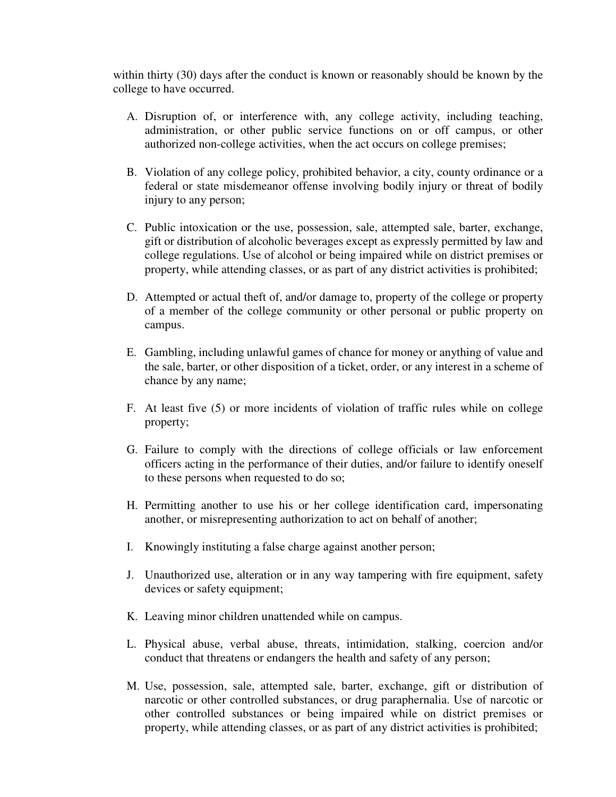within thirty (30) days after the conduct is known or reasonably should be known by the college to have occurred.

- A. Disruption of, or interference with, any college activity, including teaching, administration, or other public service functions on or off campus, or other authorized non-college activities, when the act occurs on college premises;
- B. Violation of any college policy, prohibited behavior, a city, county ordinance or a federal or state misdemeanor offense involving bodily injury or threat of bodily injury to any person;
- C. Public intoxication or the use, possession, sale, attempted sale, barter, exchange, gift or distribution of alcoholic beverages except as expressly permitted by law and college regulations. Use of alcohol or being impaired while on district premises or property, while attending classes, or as part of any district activities is prohibited;
- D. Attempted or actual theft of, and/or damage to, property of the college or property of a member of the college community or other personal or public property on campus.
- E. Gambling, including unlawful games of chance for money or anything of value and the sale, barter, or other disposition of a ticket, order, or any interest in a scheme of chance by any name;
- F. At least five (5) or more incidents of violation of traffic rules while on college property;
- G. Failure to comply with the directions of college officials or law enforcement officers acting in the performance of their duties, and/or failure to identify oneself to these persons when requested to do so;
- H. Permitting another to use his or her college identification card, impersonating another, or misrepresenting authorization to act on behalf of another;
- I. Knowingly instituting a false charge against another person;
- J. Unauthorized use, alteration or in any way tampering with fire equipment, safety devices or safety equipment;
- K. Leaving minor children unattended while on campus.
- L. Physical abuse, verbal abuse, threats, intimidation, stalking, coercion and/or conduct that threatens or endangers the health and safety of any person;
- M. Use, possession, sale, attempted sale, barter, exchange, gift or distribution of narcotic or other controlled substances, or drug paraphernalia. Use of narcotic or other controlled substances or being impaired while on district premises or property, while attending classes, or as part of any district activities is prohibited;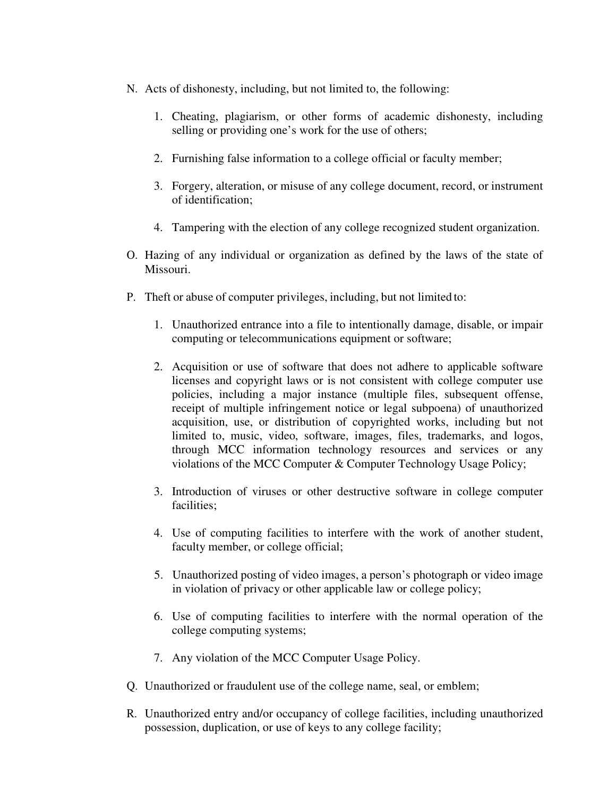- N. Acts of dishonesty, including, but not limited to, the following:
	- 1. Cheating, plagiarism, or other forms of academic dishonesty, including selling or providing one's work for the use of others;
	- 2. Furnishing false information to a college official or faculty member;
	- 3. Forgery, alteration, or misuse of any college document, record, or instrument of identification;
	- 4. Tampering with the election of any college recognized student organization.
- O. Hazing of any individual or organization as defined by the laws of the state of Missouri.
- P. Theft or abuse of computer privileges, including, but not limited to:
	- 1. Unauthorized entrance into a file to intentionally damage, disable, or impair computing or telecommunications equipment or software;
	- 2. Acquisition or use of software that does not adhere to applicable software licenses and copyright laws or is not consistent with college computer use policies, including a major instance (multiple files, subsequent offense, receipt of multiple infringement notice or legal subpoena) of unauthorized acquisition, use, or distribution of copyrighted works, including but not limited to, music, video, software, images, files, trademarks, and logos, through MCC information technology resources and services or any violations of the MCC Computer & Computer Technology Usage Policy;
	- 3. Introduction of viruses or other destructive software in college computer facilities;
	- 4. Use of computing facilities to interfere with the work of another student, faculty member, or college official;
	- 5. Unauthorized posting of video images, a person's photograph or video image in violation of privacy or other applicable law or college policy;
	- 6. Use of computing facilities to interfere with the normal operation of the college computing systems;
	- 7. Any violation of the MCC Computer Usage Policy.
- Q. Unauthorized or fraudulent use of the college name, seal, or emblem;
- R. Unauthorized entry and/or occupancy of college facilities, including unauthorized possession, duplication, or use of keys to any college facility;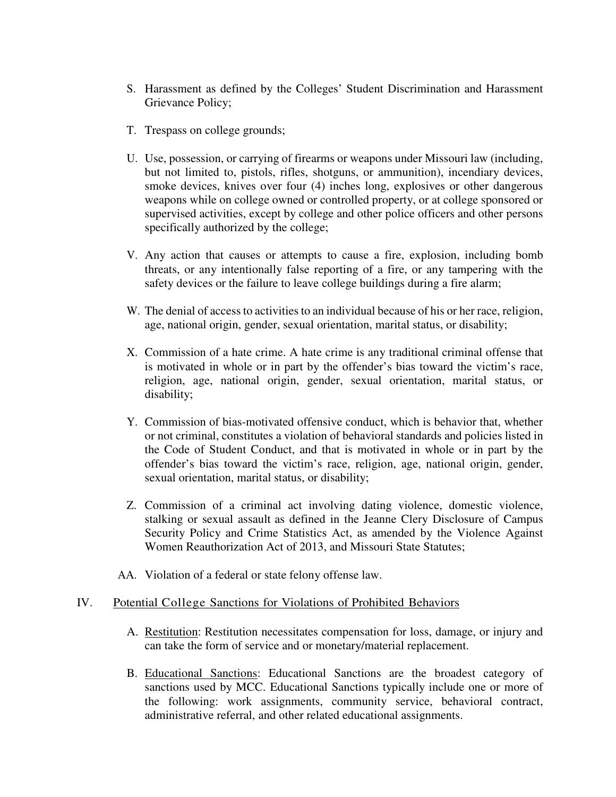- S. Harassment as defined by the Colleges' Student Discrimination and Harassment Grievance Policy;
- T. Trespass on college grounds;
- U. Use, possession, or carrying of firearms or weapons under Missouri law (including, but not limited to, pistols, rifles, shotguns, or ammunition), incendiary devices, smoke devices, knives over four (4) inches long, explosives or other dangerous weapons while on college owned or controlled property, or at college sponsored or supervised activities, except by college and other police officers and other persons specifically authorized by the college;
- V. Any action that causes or attempts to cause a fire, explosion, including bomb threats, or any intentionally false reporting of a fire, or any tampering with the safety devices or the failure to leave college buildings during a fire alarm;
- W. The denial of access to activities to an individual because of his or her race, religion, age, national origin, gender, sexual orientation, marital status, or disability;
- X. Commission of a hate crime. A hate crime is any traditional criminal offense that is motivated in whole or in part by the offender's bias toward the victim's race, religion, age, national origin, gender, sexual orientation, marital status, or disability;
- Y. Commission of bias-motivated offensive conduct, which is behavior that, whether or not criminal, constitutes a violation of behavioral standards and policies listed in the Code of Student Conduct, and that is motivated in whole or in part by the offender's bias toward the victim's race, religion, age, national origin, gender, sexual orientation, marital status, or disability;
- Z. Commission of a criminal act involving dating violence, domestic violence, stalking or sexual assault as defined in the Jeanne Clery Disclosure of Campus Security Policy and Crime Statistics Act, as amended by the Violence Against Women Reauthorization Act of 2013, and Missouri State Statutes;
- AA. Violation of a federal or state felony offense law.

#### IV. Potential College Sanctions for Violations of Prohibited Behaviors

- A. Restitution: Restitution necessitates compensation for loss, damage, or injury and can take the form of service and or monetary/material replacement.
- B. Educational Sanctions: Educational Sanctions are the broadest category of sanctions used by MCC. Educational Sanctions typically include one or more of the following: work assignments, community service, behavioral contract, administrative referral, and other related educational assignments.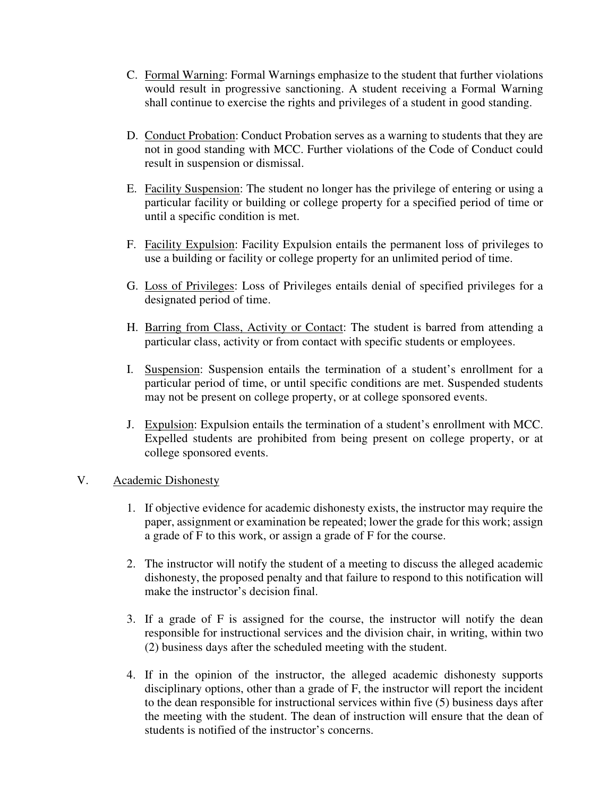- C. Formal Warning: Formal Warnings emphasize to the student that further violations would result in progressive sanctioning. A student receiving a Formal Warning shall continue to exercise the rights and privileges of a student in good standing.
- D. Conduct Probation: Conduct Probation serves as a warning to students that they are not in good standing with MCC. Further violations of the Code of Conduct could result in suspension or dismissal.
- E. Facility Suspension: The student no longer has the privilege of entering or using a particular facility or building or college property for a specified period of time or until a specific condition is met.
- F. Facility Expulsion: Facility Expulsion entails the permanent loss of privileges to use a building or facility or college property for an unlimited period of time.
- G. Loss of Privileges: Loss of Privileges entails denial of specified privileges for a designated period of time.
- H. Barring from Class, Activity or Contact: The student is barred from attending a particular class, activity or from contact with specific students or employees.
- I. Suspension: Suspension entails the termination of a student's enrollment for a particular period of time, or until specific conditions are met. Suspended students may not be present on college property, or at college sponsored events.
- J. Expulsion: Expulsion entails the termination of a student's enrollment with MCC. Expelled students are prohibited from being present on college property, or at college sponsored events.

### V. Academic Dishonesty

- 1. If objective evidence for academic dishonesty exists, the instructor may require the paper, assignment or examination be repeated; lower the grade for this work; assign a grade of F to this work, or assign a grade of F for the course.
- 2. The instructor will notify the student of a meeting to discuss the alleged academic dishonesty, the proposed penalty and that failure to respond to this notification will make the instructor's decision final.
- 3. If a grade of F is assigned for the course, the instructor will notify the dean responsible for instructional services and the division chair, in writing, within two (2) business days after the scheduled meeting with the student.
- 4. If in the opinion of the instructor, the alleged academic dishonesty supports disciplinary options, other than a grade of F, the instructor will report the incident to the dean responsible for instructional services within five (5) business days after the meeting with the student. The dean of instruction will ensure that the dean of students is notified of the instructor's concerns.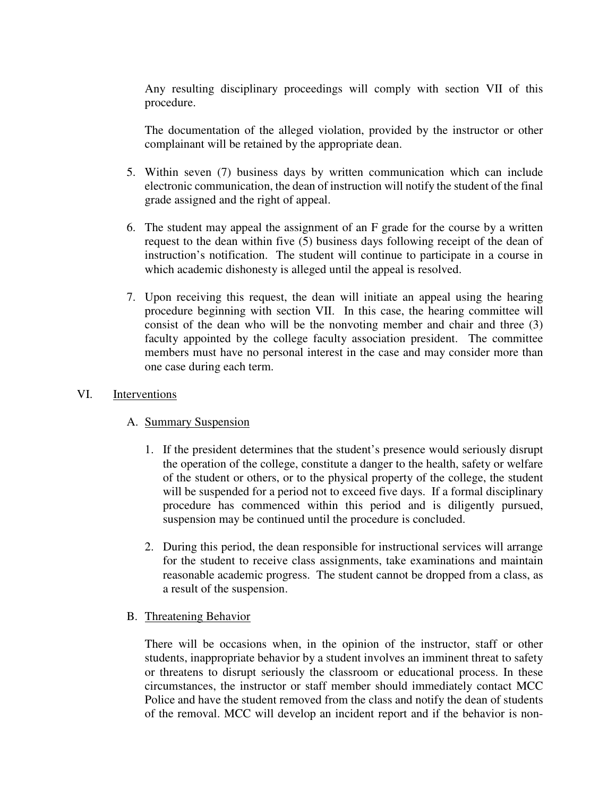Any resulting disciplinary proceedings will comply with section VII of this procedure.

The documentation of the alleged violation, provided by the instructor or other complainant will be retained by the appropriate dean.

- 5. Within seven (7) business days by written communication which can include electronic communication, the dean of instruction will notify the student of the final grade assigned and the right of appeal.
- 6. The student may appeal the assignment of an F grade for the course by a written request to the dean within five (5) business days following receipt of the dean of instruction's notification. The student will continue to participate in a course in which academic dishonesty is alleged until the appeal is resolved.
- 7. Upon receiving this request, the dean will initiate an appeal using the hearing procedure beginning with section VII. In this case, the hearing committee will consist of the dean who will be the nonvoting member and chair and three (3) faculty appointed by the college faculty association president. The committee members must have no personal interest in the case and may consider more than one case during each term.

#### VI. Interventions

### A. Summary Suspension

- 1. If the president determines that the student's presence would seriously disrupt the operation of the college, constitute a danger to the health, safety or welfare of the student or others, or to the physical property of the college, the student will be suspended for a period not to exceed five days. If a formal disciplinary procedure has commenced within this period and is diligently pursued, suspension may be continued until the procedure is concluded.
- 2. During this period, the dean responsible for instructional services will arrange for the student to receive class assignments, take examinations and maintain reasonable academic progress. The student cannot be dropped from a class, as a result of the suspension.

### B. Threatening Behavior

There will be occasions when, in the opinion of the instructor, staff or other students, inappropriate behavior by a student involves an imminent threat to safety or threatens to disrupt seriously the classroom or educational process. In these circumstances, the instructor or staff member should immediately contact MCC Police and have the student removed from the class and notify the dean of students of the removal. MCC will develop an incident report and if the behavior is non-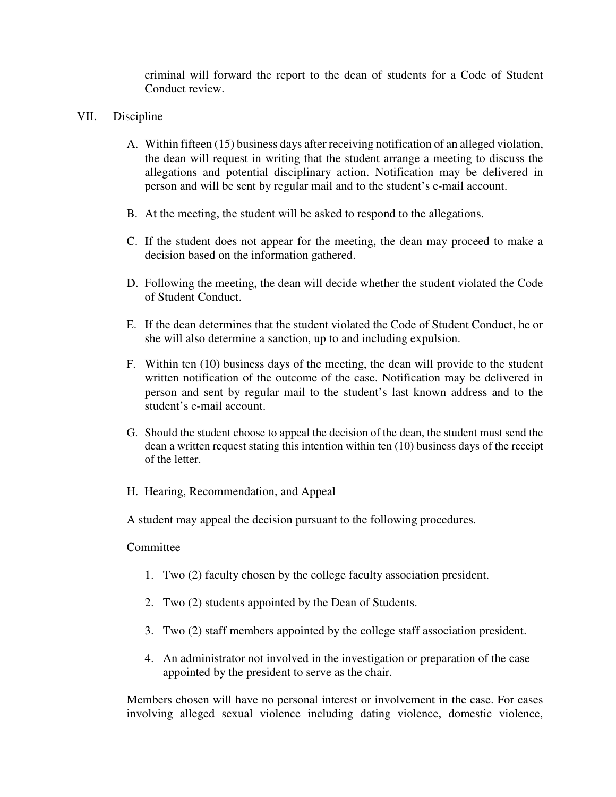criminal will forward the report to the dean of students for a Code of Student Conduct review.

### VII. Discipline

- A. Within fifteen (15) business days after receiving notification of an alleged violation, the dean will request in writing that the student arrange a meeting to discuss the allegations and potential disciplinary action. Notification may be delivered in person and will be sent by regular mail and to the student's e-mail account.
- B. At the meeting, the student will be asked to respond to the allegations.
- C. If the student does not appear for the meeting, the dean may proceed to make a decision based on the information gathered.
- D. Following the meeting, the dean will decide whether the student violated the Code of Student Conduct.
- E. If the dean determines that the student violated the Code of Student Conduct, he or she will also determine a sanction, up to and including expulsion.
- F. Within ten (10) business days of the meeting, the dean will provide to the student written notification of the outcome of the case. Notification may be delivered in person and sent by regular mail to the student's last known address and to the student's e-mail account.
- G. Should the student choose to appeal the decision of the dean, the student must send the dean a written request stating this intention within ten (10) business days of the receipt of the letter.

### H. Hearing, Recommendation, and Appeal

A student may appeal the decision pursuant to the following procedures.

### Committee

- 1. Two (2) faculty chosen by the college faculty association president.
- 2. Two (2) students appointed by the Dean of Students.
- 3. Two (2) staff members appointed by the college staff association president.
- 4. An administrator not involved in the investigation or preparation of the case appointed by the president to serve as the chair.

Members chosen will have no personal interest or involvement in the case. For cases involving alleged sexual violence including dating violence, domestic violence,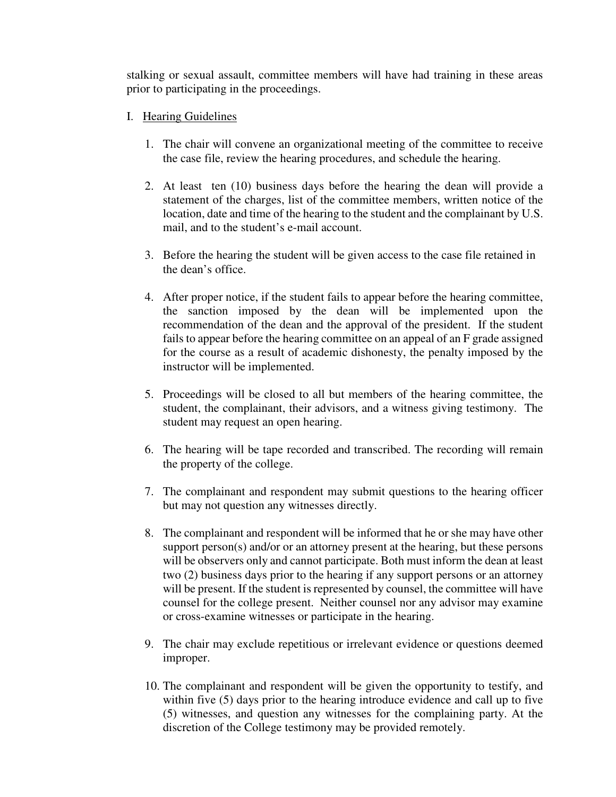stalking or sexual assault, committee members will have had training in these areas prior to participating in the proceedings.

- I. Hearing Guidelines
	- 1. The chair will convene an organizational meeting of the committee to receive the case file, review the hearing procedures, and schedule the hearing.
	- 2. At least ten (10) business days before the hearing the dean will provide a statement of the charges, list of the committee members, written notice of the location, date and time of the hearing to the student and the complainant by U.S. mail, and to the student's e-mail account.
	- 3. Before the hearing the student will be given access to the case file retained in the dean's office.
	- 4. After proper notice, if the student fails to appear before the hearing committee, the sanction imposed by the dean will be implemented upon the recommendation of the dean and the approval of the president. If the student fails to appear before the hearing committee on an appeal of an F grade assigned for the course as a result of academic dishonesty, the penalty imposed by the instructor will be implemented.
	- 5. Proceedings will be closed to all but members of the hearing committee, the student, the complainant, their advisors, and a witness giving testimony. The student may request an open hearing.
	- 6. The hearing will be tape recorded and transcribed. The recording will remain the property of the college.
	- 7. The complainant and respondent may submit questions to the hearing officer but may not question any witnesses directly.
	- 8. The complainant and respondent will be informed that he or she may have other support person(s) and/or or an attorney present at the hearing, but these persons will be observers only and cannot participate. Both must inform the dean at least two (2) business days prior to the hearing if any support persons or an attorney will be present. If the student is represented by counsel, the committee will have counsel for the college present. Neither counsel nor any advisor may examine or cross-examine witnesses or participate in the hearing.
	- 9. The chair may exclude repetitious or irrelevant evidence or questions deemed improper.
	- 10. The complainant and respondent will be given the opportunity to testify, and within five (5) days prior to the hearing introduce evidence and call up to five (5) witnesses, and question any witnesses for the complaining party. At the discretion of the College testimony may be provided remotely.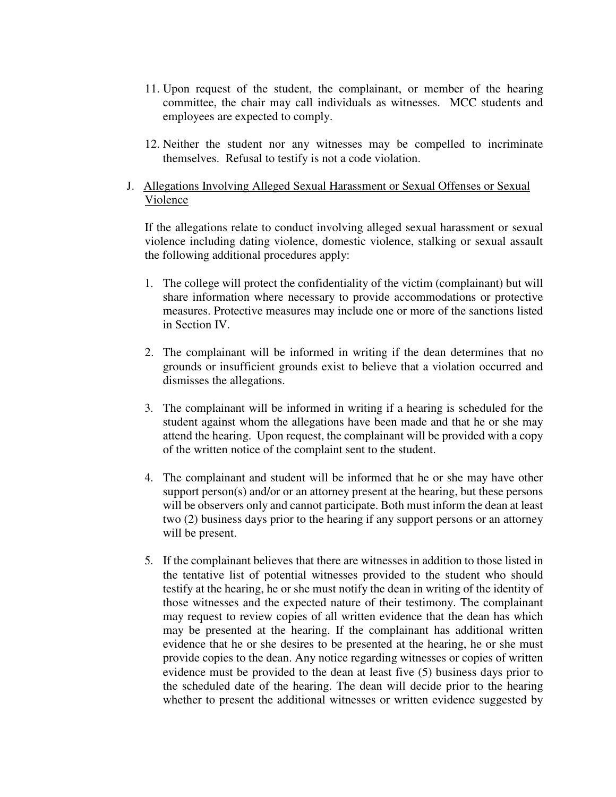- 11. Upon request of the student, the complainant, or member of the hearing committee, the chair may call individuals as witnesses. MCC students and employees are expected to comply.
- 12. Neither the student nor any witnesses may be compelled to incriminate themselves. Refusal to testify is not a code violation.

# J. Allegations Involving Alleged Sexual Harassment or Sexual Offenses or Sexual Violence

If the allegations relate to conduct involving alleged sexual harassment or sexual violence including dating violence, domestic violence, stalking or sexual assault the following additional procedures apply:

- 1. The college will protect the confidentiality of the victim (complainant) but will share information where necessary to provide accommodations or protective measures. Protective measures may include one or more of the sanctions listed in Section IV.
- 2. The complainant will be informed in writing if the dean determines that no grounds or insufficient grounds exist to believe that a violation occurred and dismisses the allegations.
- 3. The complainant will be informed in writing if a hearing is scheduled for the student against whom the allegations have been made and that he or she may attend the hearing. Upon request, the complainant will be provided with a copy of the written notice of the complaint sent to the student.
- 4. The complainant and student will be informed that he or she may have other support person(s) and/or or an attorney present at the hearing, but these persons will be observers only and cannot participate. Both must inform the dean at least two (2) business days prior to the hearing if any support persons or an attorney will be present.
- 5. If the complainant believes that there are witnesses in addition to those listed in the tentative list of potential witnesses provided to the student who should testify at the hearing, he or she must notify the dean in writing of the identity of those witnesses and the expected nature of their testimony. The complainant may request to review copies of all written evidence that the dean has which may be presented at the hearing. If the complainant has additional written evidence that he or she desires to be presented at the hearing, he or she must provide copies to the dean. Any notice regarding witnesses or copies of written evidence must be provided to the dean at least five (5) business days prior to the scheduled date of the hearing. The dean will decide prior to the hearing whether to present the additional witnesses or written evidence suggested by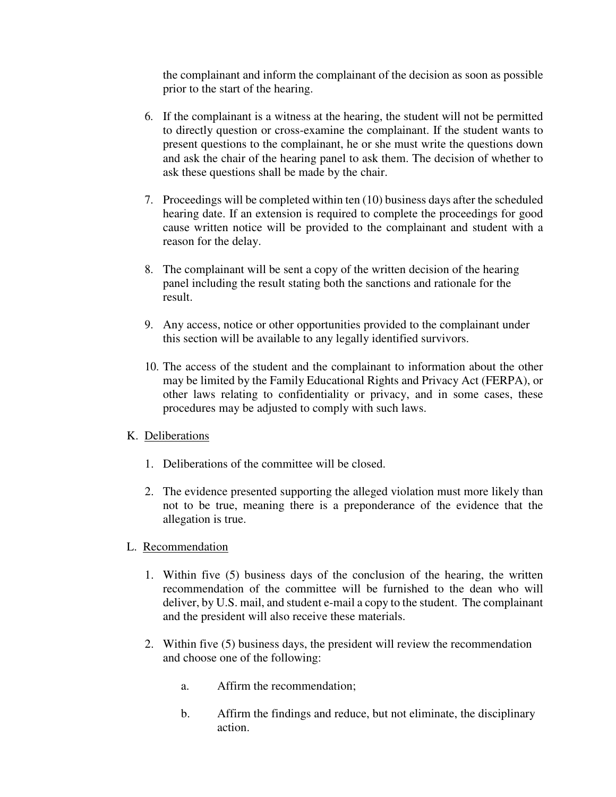the complainant and inform the complainant of the decision as soon as possible prior to the start of the hearing.

- 6. If the complainant is a witness at the hearing, the student will not be permitted to directly question or cross-examine the complainant. If the student wants to present questions to the complainant, he or she must write the questions down and ask the chair of the hearing panel to ask them. The decision of whether to ask these questions shall be made by the chair.
- 7. Proceedings will be completed within ten (10) business days after the scheduled hearing date. If an extension is required to complete the proceedings for good cause written notice will be provided to the complainant and student with a reason for the delay.
- 8. The complainant will be sent a copy of the written decision of the hearing panel including the result stating both the sanctions and rationale for the result.
- 9. Any access, notice or other opportunities provided to the complainant under this section will be available to any legally identified survivors.
- 10. The access of the student and the complainant to information about the other may be limited by the Family Educational Rights and Privacy Act (FERPA), or other laws relating to confidentiality or privacy, and in some cases, these procedures may be adjusted to comply with such laws.

# K. Deliberations

- 1. Deliberations of the committee will be closed.
- 2. The evidence presented supporting the alleged violation must more likely than not to be true, meaning there is a preponderance of the evidence that the allegation is true.
- L. Recommendation
	- 1. Within five (5) business days of the conclusion of the hearing, the written recommendation of the committee will be furnished to the dean who will deliver, by U.S. mail, and student e-mail a copy to the student. The complainant and the president will also receive these materials.
	- 2. Within five (5) business days, the president will review the recommendation and choose one of the following:
		- a. Affirm the recommendation;
		- b. Affirm the findings and reduce, but not eliminate, the disciplinary action.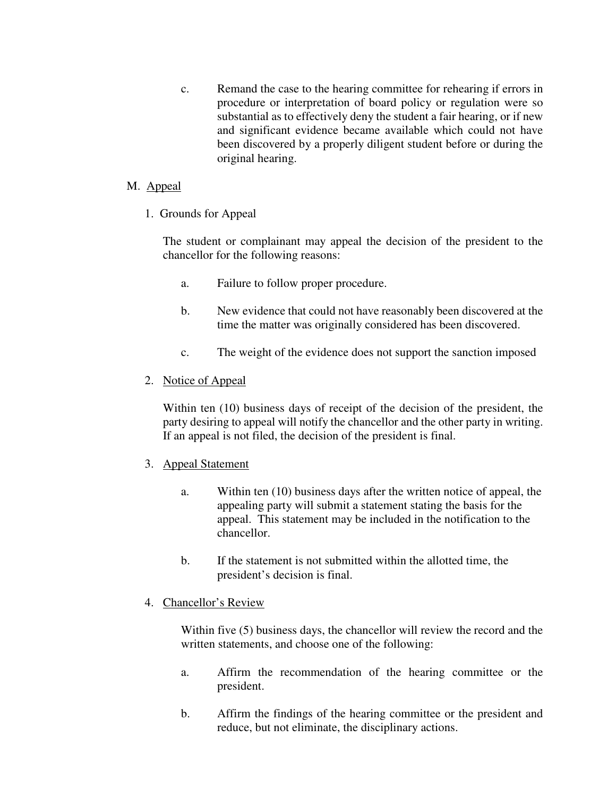c. Remand the case to the hearing committee for rehearing if errors in procedure or interpretation of board policy or regulation were so substantial as to effectively deny the student a fair hearing, or if new and significant evidence became available which could not have been discovered by a properly diligent student before or during the original hearing.

## M. Appeal

1. Grounds for Appeal

 The student or complainant may appeal the decision of the president to the chancellor for the following reasons:

- a. Failure to follow proper procedure.
- b. New evidence that could not have reasonably been discovered at the time the matter was originally considered has been discovered.
- c. The weight of the evidence does not support the sanction imposed
- 2. Notice of Appeal

Within ten (10) business days of receipt of the decision of the president, the party desiring to appeal will notify the chancellor and the other party in writing. If an appeal is not filed, the decision of the president is final.

- 3. Appeal Statement
	- a. Within ten (10) business days after the written notice of appeal, the appealing party will submit a statement stating the basis for the appeal. This statement may be included in the notification to the chancellor.
	- b. If the statement is not submitted within the allotted time, the president's decision is final.
- 4. Chancellor's Review

Within five (5) business days, the chancellor will review the record and the written statements, and choose one of the following:

- a. Affirm the recommendation of the hearing committee or the president.
- b. Affirm the findings of the hearing committee or the president and reduce, but not eliminate, the disciplinary actions.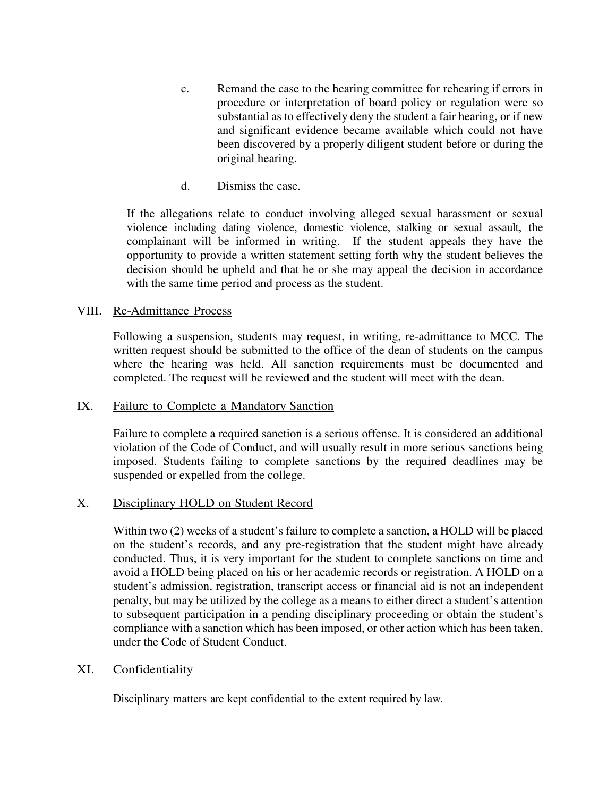- c. Remand the case to the hearing committee for rehearing if errors in procedure or interpretation of board policy or regulation were so substantial as to effectively deny the student a fair hearing, or if new and significant evidence became available which could not have been discovered by a properly diligent student before or during the original hearing.
- d. Dismiss the case.

If the allegations relate to conduct involving alleged sexual harassment or sexual violence including dating violence, domestic violence, stalking or sexual assault, the complainant will be informed in writing. If the student appeals they have the opportunity to provide a written statement setting forth why the student believes the decision should be upheld and that he or she may appeal the decision in accordance with the same time period and process as the student.

### VIII. Re-Admittance Process

Following a suspension, students may request, in writing, re-admittance to MCC. The written request should be submitted to the office of the dean of students on the campus where the hearing was held. All sanction requirements must be documented and completed. The request will be reviewed and the student will meet with the dean.

### IX. Failure to Complete a Mandatory Sanction

Failure to complete a required sanction is a serious offense. It is considered an additional violation of the Code of Conduct, and will usually result in more serious sanctions being imposed. Students failing to complete sanctions by the required deadlines may be suspended or expelled from the college.

### X. Disciplinary HOLD on Student Record

Within two (2) weeks of a student's failure to complete a sanction, a HOLD will be placed on the student's records, and any pre-registration that the student might have already conducted. Thus, it is very important for the student to complete sanctions on time and avoid a HOLD being placed on his or her academic records or registration. A HOLD on a student's admission, registration, transcript access or financial aid is not an independent penalty, but may be utilized by the college as a means to either direct a student's attention to subsequent participation in a pending disciplinary proceeding or obtain the student's compliance with a sanction which has been imposed, or other action which has been taken, under the Code of Student Conduct.

### XI. Confidentiality

Disciplinary matters are kept confidential to the extent required by law.